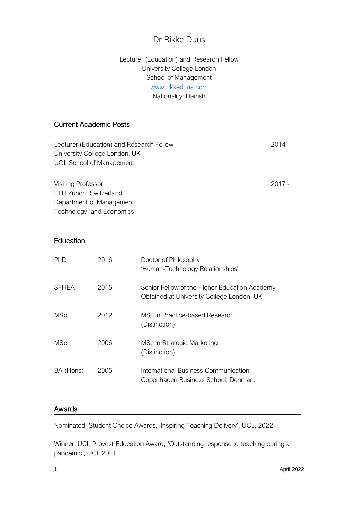# Dr Rikke Duus

## Lecturer (Education) and Research Fellow University College London School of Management [www.rikkeduus.com](http://www.rikkeduus.com/) Nationality: Danish

## Current Academic Posts

| Lecturer (Education) and Research Fellow<br>University College London, UK<br><b>UCL School of Management</b> | $2014 -$ |
|--------------------------------------------------------------------------------------------------------------|----------|
| <b>Visiting Professor</b><br>ETH Zurich, Switzerland<br>Department of Management,                            | $2017 -$ |

Technology, and Economics

| Education    |      |                                                                                            |
|--------------|------|--------------------------------------------------------------------------------------------|
| <b>PhD</b>   | 2016 | Doctor of Philosophy<br>'Human-Technology Relationships'                                   |
| <b>SFHEA</b> | 2015 | Senior Fellow of the Higher Education Academy<br>Obtained at University College London, UK |
| MSc          | 2012 | MSc in Practice-based Research<br>(Distinction)                                            |
| <b>MSc</b>   | 2006 | MSc in Strategic Marketing<br>(Distinction)                                                |
| BA (Hons)    | 2005 | International Business Communication<br>Copenhagen Business School, Denmark                |

### Awards

Nominated, Student Choice Awards, 'Inspiring Teaching Delivery', UCL, 2022

Winner, UCL Provost Education Award, 'Outstanding response to teaching during a pandemic', UCL 2021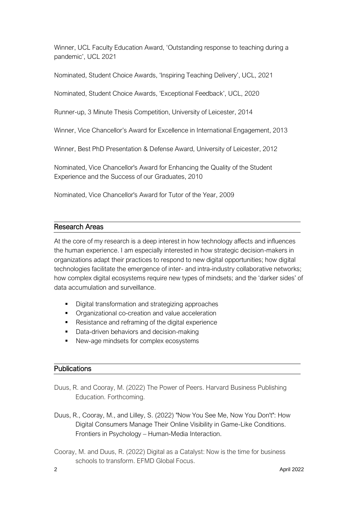Winner, UCL Faculty Education Award, 'Outstanding response to teaching during a pandemic', UCL 2021

Nominated, Student Choice Awards, 'Inspiring Teaching Delivery', UCL, 2021

Nominated, Student Choice Awards, 'Exceptional Feedback', UCL, 2020

Runner-up, 3 Minute Thesis Competition, University of Leicester, 2014

Winner, Vice Chancellor's Award for Excellence in International Engagement, 2013

Winner, Best PhD Presentation & Defense Award, University of Leicester, 2012

Nominated, Vice Chancellor's Award for Enhancing the Quality of the Student Experience and the Success of our Graduates, 2010

Nominated, Vice Chancellor's Award for Tutor of the Year, 2009

#### Research Areas

At the core of my research is a deep interest in how technology affects and influences the human experience. I am especially interested in how strategic decision-makers in organizations adapt their practices to respond to new digital opportunities; how digital technologies facilitate the emergence of inter- and intra-industry collaborative networks; how complex digital ecosystems require new types of mindsets; and the 'darker sides' of data accumulation and surveillance.

- Digital transformation and strategizing approaches
- Organizational co-creation and value acceleration
- Resistance and reframing of the digital experience
- Data-driven behaviors and decision-making
- New-age mindsets for complex ecosystems

#### **Publications**

- Duus, R. and Cooray, M. (2022) The Power of Peers. Harvard Business Publishing Education. Forthcoming.
- Duus, R., Cooray, M., and Lilley, S. (2022) "Now You See Me, Now You Don't": How Digital Consumers Manage Their Online Visibility in Game-Like Conditions. Frontiers in Psychology – Human-Media Interaction.
- Cooray, M. and Duus, R. (2022) Digital as a Catalyst: Now is the time for business schools to transform. EFMD Global Focus.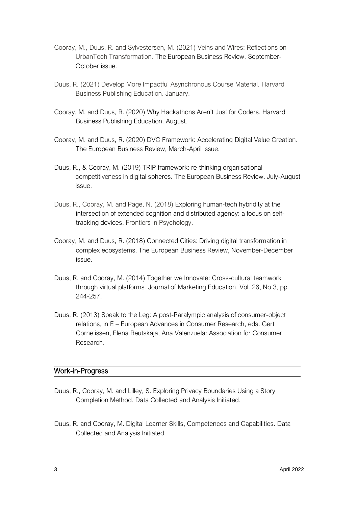- Cooray, M., Duus, R. and Sylvestersen, M. (2021) Veins and Wires: Reflections on UrbanTech Transformation. The European Business Review. September-October issue.
- Duus, R. (2021) Develop More Impactful Asynchronous Course Material. Harvard Business Publishing Education. January.
- Cooray, M. and Duus, R. (2020) Why Hackathons Aren't Just for Coders. Harvard Business Publishing Education. August.
- Cooray, M. and Duus, R. (2020) DVC Framework: Accelerating Digital Value Creation. The European Business Review, March-April issue.
- Duus, R., & Cooray, M. (2019) TRIP framework: re-thinking organisational competitiveness in digital spheres. The European Business Review. July-August issue.
- Duus, R., Cooray, M. and Page, N. (2018) Exploring human-tech hybridity at the intersection of extended cognition and distributed agency: a focus on selftracking devices. Frontiers in Psychology.
- Cooray, M. and Duus, R. (2018) Connected Cities: Driving digital transformation in complex ecosystems. The European Business Review, November-December issue.
- Duus, R. and Cooray, M. (2014) Together we Innovate: Cross-cultural teamwork through virtual platforms. Journal of Marketing Education, Vol. 26, No.3, pp. 244-257.
- Duus, R. (2013) Speak to the Leg: A post-Paralympic analysis of consumer-object relations, in E – European Advances in Consumer Research, eds. Gert Cornelissen, Elena Reutskaja, Ana Valenzuela: Association for Consumer Research.

#### Work-in-Progress

- Duus, R., Cooray, M. and Lilley, S. Exploring Privacy Boundaries Using a Story Completion Method. Data Collected and Analysis Initiated.
- Duus, R. and Cooray, M. Digital Learner Skills, Competences and Capabilities. Data Collected and Analysis Initiated.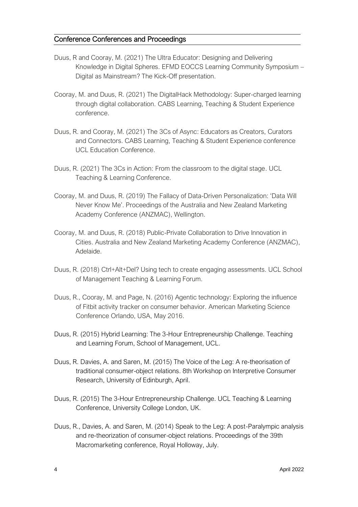### Conference Conferences and Proceedings

- Duus, R and Cooray, M. (2021) The Ultra Educator: Designing and Delivering Knowledge in Digital Spheres. EFMD EOCCS Learning Community Symposium – Digital as Mainstream? The Kick-Off presentation.
- Cooray, M. and Duus, R. (2021) The DigitalHack Methodology: Super-charged learning through digital collaboration. CABS Learning, Teaching & Student Experience conference.
- Duus, R. and Cooray, M. (2021) The 3Cs of Async: Educators as Creators, Curators and Connectors. CABS Learning, Teaching & Student Experience conference UCL Education Conference.
- Duus, R. (2021) The 3Cs in Action: From the classroom to the digital stage. UCL Teaching & Learning Conference.
- Cooray, M. and Duus, R. (2019) The Fallacy of Data-Driven Personalization: 'Data Will Never Know Me'. Proceedings of the Australia and New Zealand Marketing Academy Conference (ANZMAC), Wellington.
- Cooray, M. and Duus, R. (2018) Public-Private Collaboration to Drive Innovation in Cities. Australia and New Zealand Marketing Academy Conference (ANZMAC), Adelaide.
- Duus, R. (2018) Ctrl+Alt+Del? Using tech to create engaging assessments. UCL School of Management Teaching & Learning Forum.
- Duus, R., Cooray, M. and Page, N. (2016) Agentic technology: Exploring the influence of Fitbit activity tracker on consumer behavior. American Marketing Science Conference Orlando, USA, May 2016.
- Duus, R. (2015) Hybrid Learning: The 3-Hour Entrepreneurship Challenge. Teaching and Learning Forum, School of Management, UCL.
- Duus, R. Davies, A. and Saren, M. (2015) The Voice of the Leg: A re-theorisation of traditional consumer-object relations. 8th Workshop on Interpretive Consumer Research, University of Edinburgh, April.
- Duus, R. (2015) The 3-Hour Entrepreneurship Challenge. UCL Teaching & Learning Conference, University College London, UK.
- Duus, R., Davies, A. and Saren, M. (2014) Speak to the Leg: A post-Paralympic analysis and re-theorization of consumer-object relations. Proceedings of the 39th Macromarketing conference, Royal Holloway, July.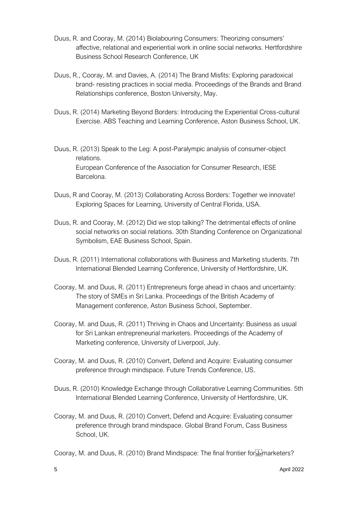- Duus, R. and Cooray, M. (2014) Biolabouring Consumers: Theorizing consumers' affective, relational and experiential work in online social networks. Hertfordshire Business School Research Conference, UK
- Duus, R., Cooray, M. and Davies, A. (2014) The Brand Misfits: Exploring paradoxical brand- resisting practices in social media. Proceedings of the Brands and Brand Relationships conference, Boston University, May.
- Duus, R. (2014) Marketing Beyond Borders: Introducing the Experiential Cross-cultural Exercise. ABS Teaching and Learning Conference, Aston Business School, UK.
- Duus, R. (2013) Speak to the Leg: A post-Paralympic analysis of consumer-object relations. European Conference of the Association for Consumer Research, IESE Barcelona.
- Duus, R and Cooray, M. (2013) Collaborating Across Borders: Together we innovate! Exploring Spaces for Learning, University of Central Florida, USA.
- Duus, R. and Cooray, M. (2012) Did we stop talking? The detrimental effects of online social networks on social relations. 30th Standing Conference on Organizational Symbolism, EAE Business School, Spain.
- Duus, R. (2011) International collaborations with Business and Marketing students. 7th International Blended Learning Conference, University of Hertfordshire, UK.
- Cooray, M. and Duus, R. (2011) Entrepreneurs forge ahead in chaos and uncertainty: The story of SMEs in Sri Lanka. Proceedings of the British Academy of Management conference, Aston Business School, September.
- Cooray, M. and Duus, R. (2011) Thriving in Chaos and Uncertainty: Business as usual for Sri Lankan entrepreneurial marketers. Proceedings of the Academy of Marketing conference, University of Liverpool, July.
- Cooray, M. and Duus, R. (2010) Convert, Defend and Acquire: Evaluating consumer preference through mindspace. Future Trends Conference, US.
- Duus, R. (2010) Knowledge Exchange through Collaborative Learning Communities. 5th International Blended Learning Conference, University of Hertfordshire, UK.
- Cooray, M. and Duus, R. (2010) Convert, Defend and Acquire: Evaluating consumer preference through brand mindspace. Global Brand Forum, Cass Business School, UK.
- Cooray, M. and Duus, R. (2010) Brand Mindspace: The final frontier for Filmarketers?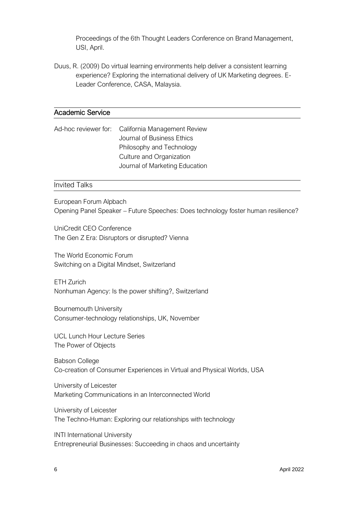Proceedings of the 6th Thought Leaders Conference on Brand Management, USI, April.

Duus, R. (2009) Do virtual learning environments help deliver a consistent learning experience? Exploring the international delivery of UK Marketing degrees. E-Leader Conference, CASA, Malaysia.

#### Academic Service

Ad-hoc reviewer for: California Management Review Journal of Business Ethics Philosophy and Technology Culture and Organization Journal of Marketing Education

#### Invited Talks

European Forum Alpbach Opening Panel Speaker – Future Speeches: Does technology foster human resilience?

UniCredit CEO Conference The Gen Z Era: Disruptors or disrupted? Vienna

The World Economic Forum Switching on a Digital Mindset, Switzerland

ETH Zurich Nonhuman Agency: Is the power shifting?, Switzerland

Bournemouth University Consumer-technology relationships, UK, November

UCL Lunch Hour Lecture Series The Power of Objects

Babson College Co-creation of Consumer Experiences in Virtual and Physical Worlds, USA

University of Leicester Marketing Communications in an Interconnected World

University of Leicester The Techno-Human: Exploring our relationships with technology

INTI International University Entrepreneurial Businesses: Succeeding in chaos and uncertainty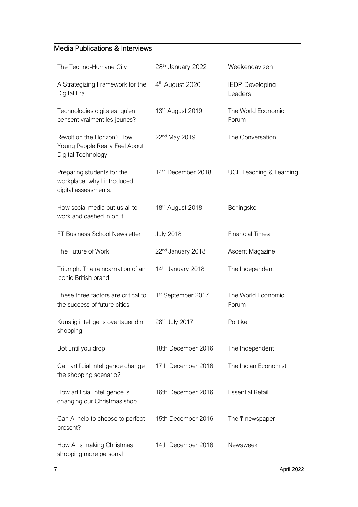# Media Publications & Interviews

| The Techno-Humane City                                                             | 28 <sup>th</sup> January 2022  | Weekendavisen                      |
|------------------------------------------------------------------------------------|--------------------------------|------------------------------------|
| A Strategizing Framework for the<br>Digital Era                                    | 4 <sup>th</sup> August 2020    | <b>IEDP</b> Developing<br>Leaders  |
| Technologies digitales: qu'en<br>pensent vraiment les jeunes?                      | 13 <sup>th</sup> August 2019   | The World Economic<br>Forum        |
| Revolt on the Horizon? How<br>Young People Really Feel About<br>Digital Technology | 22 <sup>nd</sup> May 2019      | The Conversation                   |
| Preparing students for the<br>workplace: why I introduced<br>digital assessments.  | 14th December 2018             | <b>UCL Teaching &amp; Learning</b> |
| How social media put us all to<br>work and cashed in on it                         | 18th August 2018               | Berlingske                         |
| FT Business School Newsletter                                                      | <b>July 2018</b>               | <b>Financial Times</b>             |
| The Future of Work                                                                 | 22 <sup>nd</sup> January 2018  | Ascent Magazine                    |
| Triumph: The reincarnation of an<br>iconic British brand                           | 14th January 2018              | The Independent                    |
| These three factors are critical to<br>the success of future cities                | 1 <sup>st</sup> September 2017 | The World Economic<br>Forum        |
| Kunstig intelligens overtager din<br>shopping                                      | 28 <sup>th</sup> July 2017     | Politiken                          |
| Bot until you drop                                                                 | 18th December 2016             | The Independent                    |
| Can artificial intelligence change<br>the shopping scenario?                       | 17th December 2016             | The Indian Economist               |
| How artificial intelligence is<br>changing our Christmas shop                      | 16th December 2016             | <b>Essential Retail</b>            |
| Can AI help to choose to perfect<br>present?                                       | 15th December 2016             | The 'i' newspaper                  |
| How AI is making Christmas<br>shopping more personal                               | 14th December 2016             | Newsweek                           |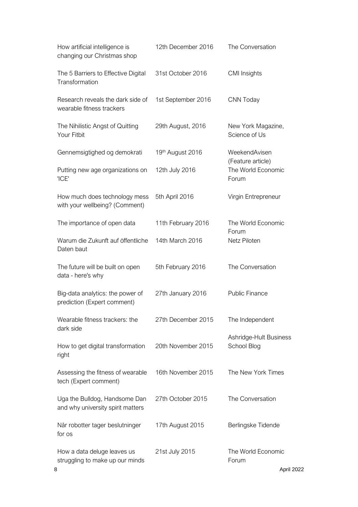| How artificial intelligence is<br>changing our Christmas shop      | 12th December 2016 | The Conversation                                 |
|--------------------------------------------------------------------|--------------------|--------------------------------------------------|
| The 5 Barriers to Effective Digital<br>Transformation              | 31st October 2016  | <b>CMI</b> Insights                              |
| Research reveals the dark side of<br>wearable fitness trackers     | 1st September 2016 | CNN Today                                        |
| The Nihilistic Angst of Quitting<br>Your Fitbit                    | 29th August, 2016  | New York Magazine,<br>Science of Us              |
| Gennemsigtighed og demokrati                                       | 19th August 2016   | WeekendAvisen                                    |
| Putting new age organizations on<br>'ICE'                          | 12th July 2016     | (Feature article)<br>The World Economic<br>Forum |
| How much does technology mess<br>with your wellbeing? (Comment)    | 5th April 2016     | Virgin Entrepreneur                              |
| The importance of open data                                        | 11th February 2016 | The World Economic<br>Forum                      |
| Warum die Zukunft auf öffentliche<br>Daten baut                    | 14th March 2016    | Netz Piloten                                     |
| The future will be built on open<br>data - here's why              | 5th February 2016  | The Conversation                                 |
| Big-data analytics: the power of<br>prediction (Expert comment)    | 27th January 2016  | <b>Public Finance</b>                            |
| Wearable fitness trackers: the<br>dark side                        | 27th December 2015 | The Independent                                  |
| How to get digital transformation<br>right                         | 20th November 2015 | Ashridge-Hult Business<br>School Blog            |
| Assessing the fitness of wearable<br>tech (Expert comment)         | 16th November 2015 | The New York Times                               |
| Uga the Bulldog, Handsome Dan<br>and why university spirit matters | 27th October 2015  | The Conversation                                 |
| Når robotter tager beslutninger<br>for os                          | 17th August 2015   | Berlingske Tidende                               |
| How a data deluge leaves us<br>struggling to make up our minds     | 21st July 2015     | The World Economic<br>Forum                      |
| 8                                                                  |                    | April 2022                                       |